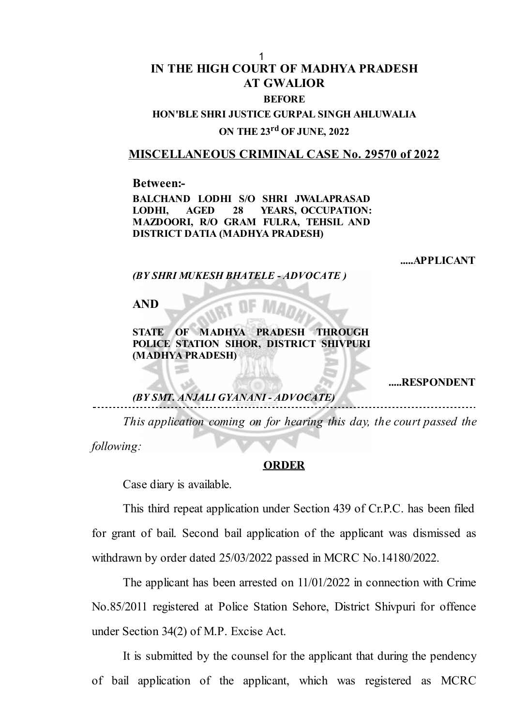## **IN THE HIGH COURT OF MADHYA PRADESH AT GWALIOR BEFORE** 1

# **HON'BLE SHRI JUSTICE GURPAL SINGH AHLUWALIA ON THE 23 rd OF JUNE, 2022**

#### **MISCELLANEOUS CRIMINAL CASE No. 29570 of 2022**

**Between:-**

**BALCHAND LODHI S/O SHRI JWALAPRASAD LODHI, AGED 28 YEARS, OCCUPATION: MAZDOORI, R/O GRAM FULRA, TEHSIL AND DISTRICT DATIA (MADHYA PRADESH)**

**.....APPLICANT**

*(BY SHRI MUKESH BHATELE - ADVOCATE )*

**AND**

**STATE OF MADHYA PRADESH THROUGH POLICE STATION SIHOR, DISTRICT SHIVPURI (MADHYA PRADESH)**

**.....RESPONDENT**

### *(BY SMT. ANJALI GYANANI - ADVOCATE)*

*This application coming on for hearing this day, the court passed the following:*

#### **ORDER**

Case diary is available.

This third repeat application under Section 439 of Cr.P.C. has been filed for grant of bail. Second bail application of the applicant was dismissed as withdrawn by order dated 25/03/2022 passed in MCRC No.14180/2022.

The applicant has been arrested on 11/01/2022 in connection with Crime No.85/2011 registered at Police Station Sehore, District Shivpuri for offence under Section 34(2) of M.P. Excise Act.

It is submitted by the counsel for the applicant that during the pendency of bail application of the applicant, which was registered as MCRC